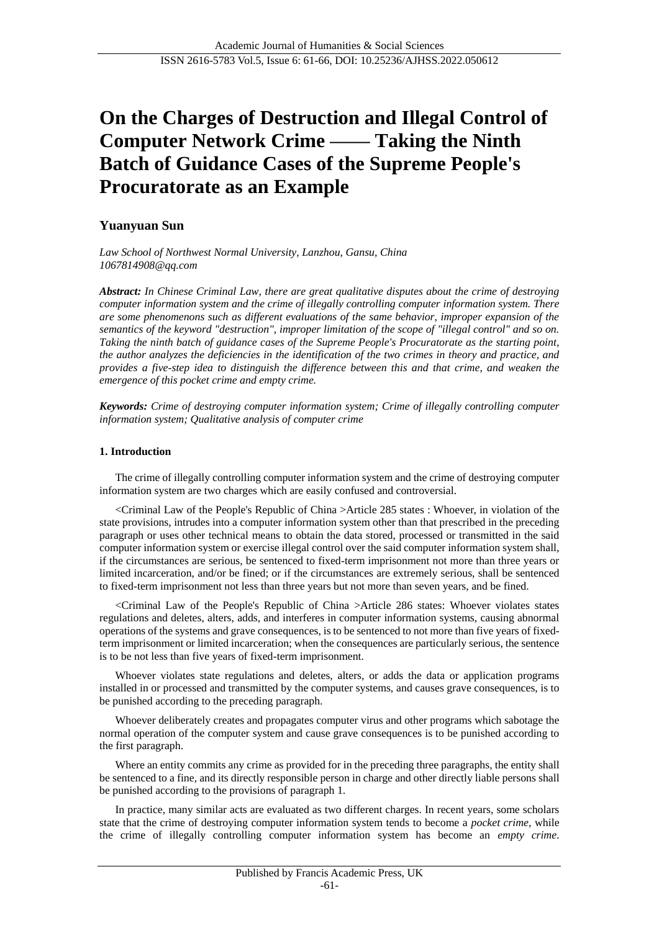# **On the Charges of Destruction and Illegal Control of Computer Network Crime —— Taking the Ninth Batch of Guidance Cases of the Supreme People's Procuratorate as an Example**

## **Yuanyuan Sun**

*Law School of Northwest Normal University, Lanzhou, Gansu, China 1067814908@qq.com*

*Abstract: In Chinese Criminal Law, there are great qualitative disputes about the crime of destroying computer information system and the crime of illegally controlling computer information system. There are some phenomenons such as different evaluations of the same behavior, improper expansion of the semantics of the keyword "destruction", improper limitation of the scope of "illegal control" and so on. Taking the ninth batch of guidance cases of the Supreme People's Procuratorate as the starting point, the author analyzes the deficiencies in the identification of the two crimes in theory and practice, and provides a five-step idea to distinguish the difference between this and that crime, and weaken the emergence of this pocket crime and empty crime.*

*Keywords: Crime of destroying computer information system; Crime of illegally controlling computer information system; Qualitative analysis of computer crime*

## **1. Introduction**

The crime of illegally controlling computer information system and the crime of destroying computer information system are two charges which are easily confused and controversial.

<Criminal Law of the People's Republic of China >Article 285 states : Whoever, in violation of the state provisions, intrudes into a computer information system other than that prescribed in the preceding paragraph or uses other technical means to obtain the data stored, processed or transmitted in the said computer information system or exercise illegal control over the said computer information system shall, if the circumstances are serious, be sentenced to fixed-term imprisonment not more than three years or limited incarceration, and/or be fined; or if the circumstances are extremely serious, shall be sentenced to fixed-term imprisonment not less than three years but not more than seven years, and be fined.

<Criminal Law of the People's Republic of China >Article 286 states: Whoever violates states regulations and deletes, alters, adds, and interferes in computer information systems, causing abnormal operations of the systems and grave consequences, is to be sentenced to not more than five years of fixedterm imprisonment or limited incarceration; when the consequences are particularly serious, the sentence is to be not less than five years of fixed-term imprisonment.

Whoever violates state regulations and deletes, alters, or adds the data or application programs installed in or processed and transmitted by the computer systems, and causes grave consequences, is to be punished according to the preceding paragraph.

Whoever deliberately creates and propagates computer virus and other programs which sabotage the normal operation of the computer system and cause grave consequences is to be punished according to the first paragraph.

Where an entity commits any crime as provided for in the preceding three paragraphs, the entity shall be sentenced to a fine, and its directly responsible person in charge and other directly liable persons shall be punished according to the provisions of paragraph 1.

In practice, many similar acts are evaluated as two different charges. In recent years, some scholars state that the crime of destroying computer information system tends to become a *pocket crime*, while the crime of illegally controlling computer information system has become an *empty crime*.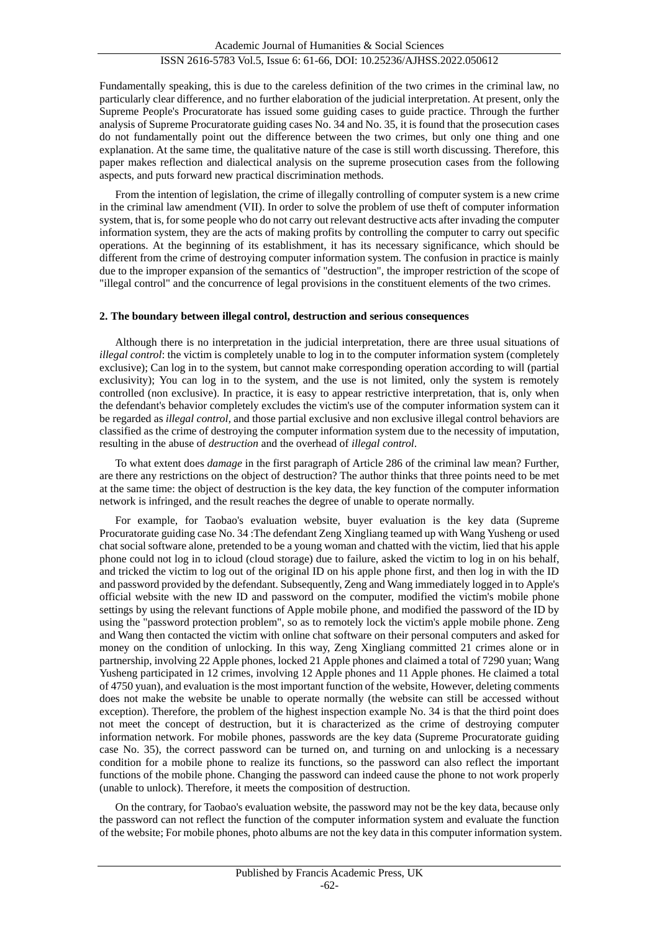Fundamentally speaking, this is due to the careless definition of the two crimes in the criminal law, no particularly clear difference, and no further elaboration of the judicial interpretation. At present, only the Supreme People's Procuratorate has issued some guiding cases to guide practice. Through the further analysis of Supreme Procuratorate guiding cases No. 34 and No. 35, it is found that the prosecution cases do not fundamentally point out the difference between the two crimes, but only one thing and one explanation. At the same time, the qualitative nature of the case is still worth discussing. Therefore, this paper makes reflection and dialectical analysis on the supreme prosecution cases from the following aspects, and puts forward new practical discrimination methods.

From the intention of legislation, the crime of illegally controlling of computer system is a new crime in the criminal law amendment (VII). In order to solve the problem of use theft of computer information system, that is, for some people who do not carry out relevant destructive acts after invading the computer information system, they are the acts of making profits by controlling the computer to carry out specific operations. At the beginning of its establishment, it has its necessary significance, which should be different from the crime of destroying computer information system. The confusion in practice is mainly due to the improper expansion of the semantics of "destruction", the improper restriction of the scope of "illegal control" and the concurrence of legal provisions in the constituent elements of the two crimes.

#### **2. The boundary between illegal control, destruction and serious consequences**

Although there is no interpretation in the judicial interpretation, there are three usual situations of *illegal control*: the victim is completely unable to log in to the computer information system (completely exclusive); Can log in to the system, but cannot make corresponding operation according to will (partial exclusivity); You can log in to the system, and the use is not limited, only the system is remotely controlled (non exclusive). In practice, it is easy to appear restrictive interpretation, that is, only when the defendant's behavior completely excludes the victim's use of the computer information system can it be regarded as *illegal control,* and those partial exclusive and non exclusive illegal control behaviors are classified as the crime of destroying the computer information system due to the necessity of imputation, resulting in the abuse of *destruction* and the overhead of *illegal control*.

To what extent does *damage* in the first paragraph of Article 286 of the criminal law mean? Further, are there any restrictions on the object of destruction? The author thinks that three points need to be met at the same time: the object of destruction is the key data, the key function of the computer information network is infringed, and the result reaches the degree of unable to operate normally.

For example, for Taobao's evaluation website, buyer evaluation is the key data (Supreme Procuratorate guiding case No. 34 :The defendant Zeng Xingliang teamed up with Wang Yusheng or used chat social software alone, pretended to be a young woman and chatted with the victim, lied that his apple phone could not log in to icloud (cloud storage) due to failure, asked the victim to log in on his behalf, and tricked the victim to log out of the original ID on his apple phone first, and then log in with the ID and password provided by the defendant. Subsequently, Zeng and Wang immediately logged in to Apple's official website with the new ID and password on the computer, modified the victim's mobile phone settings by using the relevant functions of Apple mobile phone, and modified the password of the ID by using the "password protection problem", so as to remotely lock the victim's apple mobile phone. Zeng and Wang then contacted the victim with online chat software on their personal computers and asked for money on the condition of unlocking. In this way, Zeng Xingliang committed 21 crimes alone or in partnership, involving 22 Apple phones, locked 21 Apple phones and claimed a total of 7290 yuan; Wang Yusheng participated in 12 crimes, involving 12 Apple phones and 11 Apple phones. He claimed a total of 4750 yuan), and evaluation is the most important function of the website, However, deleting comments does not make the website be unable to operate normally (the website can still be accessed without exception). Therefore, the problem of the highest inspection example No. 34 is that the third point does not meet the concept of destruction, but it is characterized as the crime of destroying computer information network. For mobile phones, passwords are the key data (Supreme Procuratorate guiding case No. 35), the correct password can be turned on, and turning on and unlocking is a necessary condition for a mobile phone to realize its functions, so the password can also reflect the important functions of the mobile phone. Changing the password can indeed cause the phone to not work properly (unable to unlock). Therefore, it meets the composition of destruction.

On the contrary, for Taobao's evaluation website, the password may not be the key data, because only the password can not reflect the function of the computer information system and evaluate the function of the website; For mobile phones, photo albums are not the key data in this computer information system.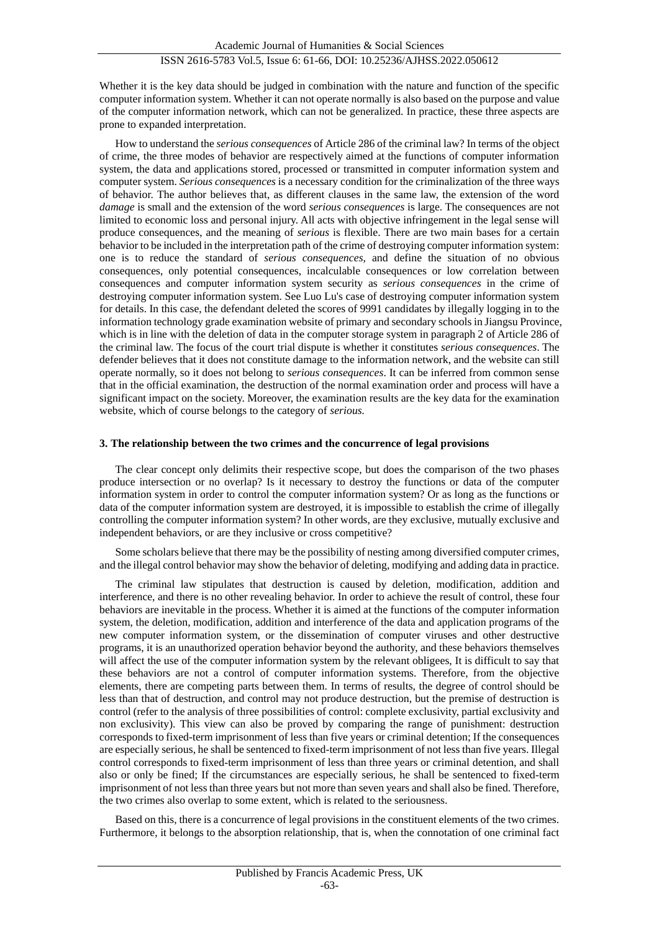## ISSN 2616-5783 Vol.5, Issue 6: 61-66, DOI: 10.25236/AJHSS.2022.050612

Whether it is the key data should be judged in combination with the nature and function of the specific computer information system. Whether it can not operate normally is also based on the purpose and value of the computer information network, which can not be generalized. In practice, these three aspects are prone to expanded interpretation.

How to understand the *serious consequences* of Article 286 of the criminal law? In terms of the object of crime, the three modes of behavior are respectively aimed at the functions of computer information system, the data and applications stored, processed or transmitted in computer information system and computer system. *Serious consequences* is a necessary condition for the criminalization of the three ways of behavior. The author believes that, as different clauses in the same law, the extension of the word *damage* is small and the extension of the word *serious consequences* is large. The consequences are not limited to economic loss and personal injury. All acts with objective infringement in the legal sense will produce consequences, and the meaning of *serious* is flexible. There are two main bases for a certain behavior to be included in the interpretation path of the crime of destroying computer information system: one is to reduce the standard of *serious consequences*, and define the situation of no obvious consequences, only potential consequences, incalculable consequences or low correlation between consequences and computer information system security as *serious consequences* in the crime of destroying computer information system. See Luo Lu's case of destroying computer information system for details. In this case, the defendant deleted the scores of 9991 candidates by illegally logging in to the information technology grade examination website of primary and secondary schools in Jiangsu Province, which is in line with the deletion of data in the computer storage system in paragraph 2 of Article 286 of the criminal law. The focus of the court trial dispute is whether it constitutes *serious consequences*. The defender believes that it does not constitute damage to the information network, and the website can still operate normally, so it does not belong to *serious consequences*. It can be inferred from common sense that in the official examination, the destruction of the normal examination order and process will have a significant impact on the society. Moreover, the examination results are the key data for the examination website, which of course belongs to the category of *serious.*

#### **3. The relationship between the two crimes and the concurrence of legal provisions**

The clear concept only delimits their respective scope, but does the comparison of the two phases produce intersection or no overlap? Is it necessary to destroy the functions or data of the computer information system in order to control the computer information system? Or as long as the functions or data of the computer information system are destroyed, it is impossible to establish the crime of illegally controlling the computer information system? In other words, are they exclusive, mutually exclusive and independent behaviors, or are they inclusive or cross competitive?

Some scholars believe that there may be the possibility of nesting among diversified computer crimes, and the illegal control behavior may show the behavior of deleting, modifying and adding data in practice.

The criminal law stipulates that destruction is caused by deletion, modification, addition and interference, and there is no other revealing behavior. In order to achieve the result of control, these four behaviors are inevitable in the process. Whether it is aimed at the functions of the computer information system, the deletion, modification, addition and interference of the data and application programs of the new computer information system, or the dissemination of computer viruses and other destructive programs, it is an unauthorized operation behavior beyond the authority, and these behaviors themselves will affect the use of the computer information system by the relevant obligees, It is difficult to say that these behaviors are not a control of computer information systems. Therefore, from the objective elements, there are competing parts between them. In terms of results, the degree of control should be less than that of destruction, and control may not produce destruction, but the premise of destruction is control (refer to the analysis of three possibilities of control: complete exclusivity, partial exclusivity and non exclusivity). This view can also be proved by comparing the range of punishment: destruction corresponds to fixed-term imprisonment of less than five years or criminal detention; If the consequences are especially serious, he shall be sentenced to fixed-term imprisonment of not less than five years. Illegal control corresponds to fixed-term imprisonment of less than three years or criminal detention, and shall also or only be fined; If the circumstances are especially serious, he shall be sentenced to fixed-term imprisonment of not less than three years but not more than seven years and shall also be fined. Therefore, the two crimes also overlap to some extent, which is related to the seriousness.

Based on this, there is a concurrence of legal provisions in the constituent elements of the two crimes. Furthermore, it belongs to the absorption relationship, that is, when the connotation of one criminal fact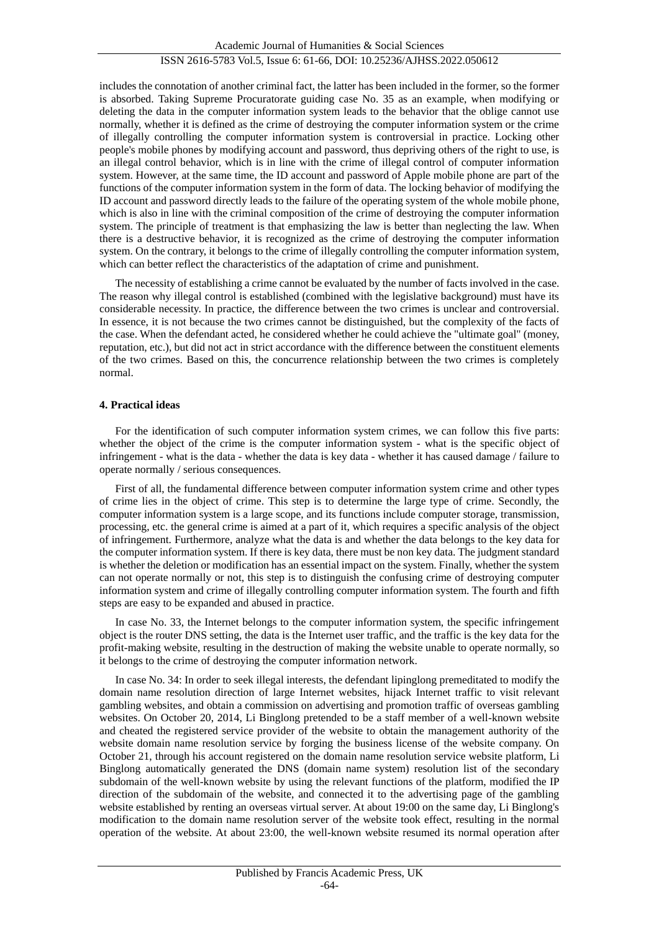## ISSN 2616-5783 Vol.5, Issue 6: 61-66, DOI: 10.25236/AJHSS.2022.050612

includes the connotation of another criminal fact, the latter has been included in the former, so the former is absorbed. Taking Supreme Procuratorate guiding case No. 35 as an example, when modifying or deleting the data in the computer information system leads to the behavior that the oblige cannot use normally, whether it is defined as the crime of destroying the computer information system or the crime of illegally controlling the computer information system is controversial in practice. Locking other people's mobile phones by modifying account and password, thus depriving others of the right to use, is an illegal control behavior, which is in line with the crime of illegal control of computer information system. However, at the same time, the ID account and password of Apple mobile phone are part of the functions of the computer information system in the form of data. The locking behavior of modifying the ID account and password directly leads to the failure of the operating system of the whole mobile phone, which is also in line with the criminal composition of the crime of destroying the computer information system. The principle of treatment is that emphasizing the law is better than neglecting the law. When there is a destructive behavior, it is recognized as the crime of destroying the computer information system. On the contrary, it belongs to the crime of illegally controlling the computer information system, which can better reflect the characteristics of the adaptation of crime and punishment.

The necessity of establishing a crime cannot be evaluated by the number of facts involved in the case. The reason why illegal control is established (combined with the legislative background) must have its considerable necessity. In practice, the difference between the two crimes is unclear and controversial. In essence, it is not because the two crimes cannot be distinguished, but the complexity of the facts of the case. When the defendant acted, he considered whether he could achieve the "ultimate goal" (money, reputation, etc.), but did not act in strict accordance with the difference between the constituent elements of the two crimes. Based on this, the concurrence relationship between the two crimes is completely normal.

## **4. Practical ideas**

For the identification of such computer information system crimes, we can follow this five parts: whether the object of the crime is the computer information system - what is the specific object of infringement - what is the data - whether the data is key data - whether it has caused damage / failure to operate normally / serious consequences.

First of all, the fundamental difference between computer information system crime and other types of crime lies in the object of crime. This step is to determine the large type of crime. Secondly, the computer information system is a large scope, and its functions include computer storage, transmission, processing, etc. the general crime is aimed at a part of it, which requires a specific analysis of the object of infringement. Furthermore, analyze what the data is and whether the data belongs to the key data for the computer information system. If there is key data, there must be non key data. The judgment standard is whether the deletion or modification has an essential impact on the system. Finally, whether the system can not operate normally or not, this step is to distinguish the confusing crime of destroying computer information system and crime of illegally controlling computer information system. The fourth and fifth steps are easy to be expanded and abused in practice.

In case No. 33, the Internet belongs to the computer information system, the specific infringement object is the router DNS setting, the data is the Internet user traffic, and the traffic is the key data for the profit-making website, resulting in the destruction of making the website unable to operate normally, so it belongs to the crime of destroying the computer information network.

In case No. 34: In order to seek illegal interests, the defendant lipinglong premeditated to modify the domain name resolution direction of large Internet websites, hijack Internet traffic to visit relevant gambling websites, and obtain a commission on advertising and promotion traffic of overseas gambling websites. On October 20, 2014, Li Binglong pretended to be a staff member of a well-known website and cheated the registered service provider of the website to obtain the management authority of the website domain name resolution service by forging the business license of the website company. On October 21, through his account registered on the domain name resolution service website platform, Li Binglong automatically generated the DNS (domain name system) resolution list of the secondary subdomain of the well-known website by using the relevant functions of the platform, modified the IP direction of the subdomain of the website, and connected it to the advertising page of the gambling website established by renting an overseas virtual server. At about 19:00 on the same day, Li Binglong's modification to the domain name resolution server of the website took effect, resulting in the normal operation of the website. At about 23:00, the well-known website resumed its normal operation after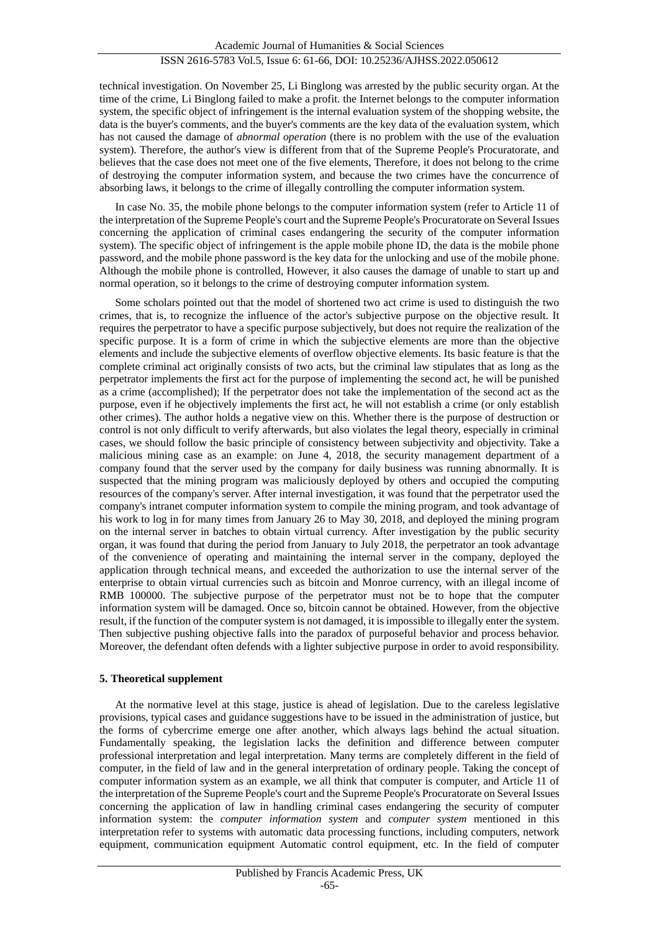technical investigation. On November 25, Li Binglong was arrested by the public security organ. At the time of the crime, Li Binglong failed to make a profit. the Internet belongs to the computer information system, the specific object of infringement is the internal evaluation system of the shopping website, the data is the buyer's comments, and the buyer's comments are the key data of the evaluation system, which has not caused the damage of *abnormal operation* (there is no problem with the use of the evaluation system). Therefore, the author's view is different from that of the Supreme People's Procuratorate, and believes that the case does not meet one of the five elements, Therefore, it does not belong to the crime of destroying the computer information system, and because the two crimes have the concurrence of absorbing laws, it belongs to the crime of illegally controlling the computer information system.

In case No. 35, the mobile phone belongs to the computer information system (refer to Article 11 of the interpretation of the Supreme People's court and the Supreme People's Procuratorate on Several Issues concerning the application of criminal cases endangering the security of the computer information system). The specific object of infringement is the apple mobile phone ID, the data is the mobile phone password, and the mobile phone password is the key data for the unlocking and use of the mobile phone. Although the mobile phone is controlled, However, it also causes the damage of unable to start up and normal operation, so it belongs to the crime of destroying computer information system.

Some scholars pointed out that the model of shortened two act crime is used to distinguish the two crimes, that is, to recognize the influence of the actor's subjective purpose on the objective result. It requires the perpetrator to have a specific purpose subjectively, but does not require the realization of the specific purpose. It is a form of crime in which the subjective elements are more than the objective elements and include the subjective elements of overflow objective elements. Its basic feature is that the complete criminal act originally consists of two acts, but the criminal law stipulates that as long as the perpetrator implements the first act for the purpose of implementing the second act, he will be punished as a crime (accomplished); If the perpetrator does not take the implementation of the second act as the purpose, even if he objectively implements the first act, he will not establish a crime (or only establish other crimes). The author holds a negative view on this. Whether there is the purpose of destruction or control is not only difficult to verify afterwards, but also violates the legal theory, especially in criminal cases, we should follow the basic principle of consistency between subjectivity and objectivity. Take a malicious mining case as an example: on June 4, 2018, the security management department of a company found that the server used by the company for daily business was running abnormally. It is suspected that the mining program was maliciously deployed by others and occupied the computing resources of the company's server. After internal investigation, it was found that the perpetrator used the company's intranet computer information system to compile the mining program, and took advantage of his work to log in for many times from January 26 to May 30, 2018, and deployed the mining program on the internal server in batches to obtain virtual currency. After investigation by the public security organ, it was found that during the period from January to July 2018, the perpetrator an took advantage of the convenience of operating and maintaining the internal server in the company, deployed the application through technical means, and exceeded the authorization to use the internal server of the enterprise to obtain virtual currencies such as bitcoin and Monroe currency, with an illegal income of RMB 100000. The subjective purpose of the perpetrator must not be to hope that the computer information system will be damaged. Once so, bitcoin cannot be obtained. However, from the objective result, if the function of the computer system is not damaged, it is impossible to illegally enter the system. Then subjective pushing objective falls into the paradox of purposeful behavior and process behavior. Moreover, the defendant often defends with a lighter subjective purpose in order to avoid responsibility.

## **5. Theoretical supplement**

At the normative level at this stage, justice is ahead of legislation. Due to the careless legislative provisions, typical cases and guidance suggestions have to be issued in the administration of justice, but the forms of cybercrime emerge one after another, which always lags behind the actual situation. Fundamentally speaking, the legislation lacks the definition and difference between computer professional interpretation and legal interpretation. Many terms are completely different in the field of computer, in the field of law and in the general interpretation of ordinary people. Taking the concept of computer information system as an example, we all think that computer is computer, and Article 11 of the interpretation of the Supreme People's court and the Supreme People's Procuratorate on Several Issues concerning the application of law in handling criminal cases endangering the security of computer information system: the *computer information system* and *computer system* mentioned in this interpretation refer to systems with automatic data processing functions, including computers, network equipment, communication equipment Automatic control equipment, etc. In the field of computer